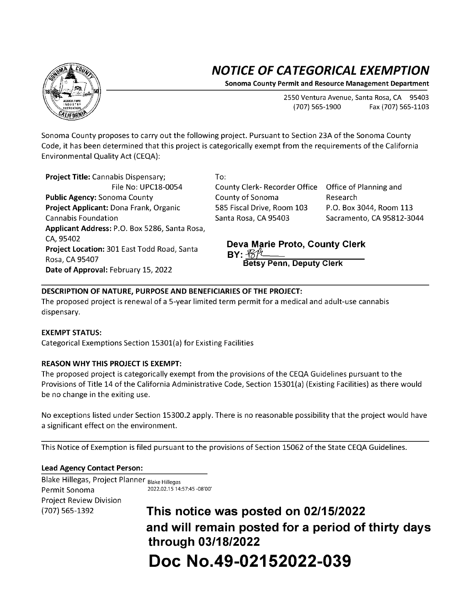# **NOTICE OF CATEGORICAL EXEMPTION**

**Sonoma County Permit and Resource Management Department** 

2550 Ventura Avenue, Santa Rosa, CA 95403 (707) 565-1900 Fax (707) 565-1103

Sonoma County proposes to carry out the following project. Pursuant to Section 23A of the Sonoma County Code, it has been determined that this project is categorically exempt from the requirements of the California Environmental Quality Act {CEQA):

**Project Title:** Cannabis Dispensary; File No: UPC18-0054 **Public Agency:** Sonoma County **Project Applicant:** Dona Frank, Organic Cannabis Foundation **Applicant Address:** P.O. Box 5286, Santa Rosa, CA,95402 **Project Location:** 301 East Todd Road, Santa Rosa, CA 95407 **Date of Approval:** February 15, 2022

To:

County Clerk- Recorder Office Office of Planning and County of Sonoma 585 Fiscal Drive, Room 103 Santa Rosa, CA 95403

Research P.O. Box 3044, Room 113 Sacramento, CA 95812-3044

#### **Deva Marie Proto, County Clerk BY:**  $\mathcal{B}/\mathcal{H}$ **Betsy Penn, Deputy Clerk**

## **DESCRIPTION OF NATURE, PURPOSE AND BENEFICIARIES OF THE PROJECT:**

The proposed project is renewal of a 5-year limited term permit for a medical and adult-use cannabis dispensary.

### **EXEMPT STATUS:**

Categorical Exemptions Section 15301{a) for Existing Facilities

## **REASON WHY THIS PROJECT IS EXEMPT:**

The proposed project is categorically exempt from the provisions of the CEQA Guidelines pursuant to the Provisions of Title 14 of the California Administrative Code, Section 15301{a) {Existing Facilities) as there would be no change in the exiting use.

No exceptions listed under Section 15300.2 apply. There is no reasonable possibility that the project would have a significant effect on the environment.

This Notice of Exemption is filed pursuant to the provisions of Section 15062 of the State CEQA Guidelines.

### **Lead Agency Contact Person:**

Blake Hillegas, Project Planner Blake Hillegas Permit Sonoma 2022.02.15 14:57:45 -08'00' Project Review Division

{707) 565-1392 **This notice was posted on 02/15/2022 and will remain posted for a period of thirty days through 03/18/2022 Doc No.49-02152022-039**